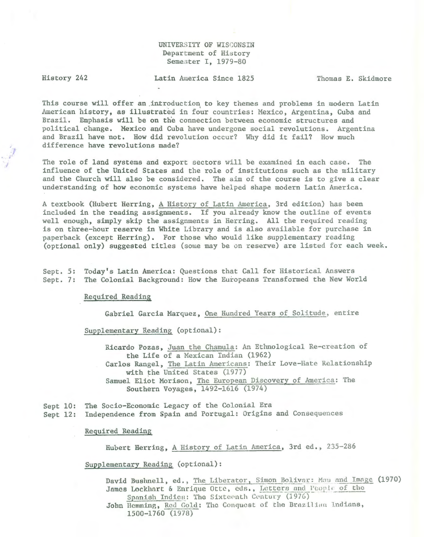# UNIVERSITY OF WISCONSIN Department of History Semester I, 1979-80

/

History 242 Latin kuer ica Since 1825 Thomas E. Skidmore

This course will offer an introduction to key themes and problems in modern Latin American history, as illustrated in four countries: Mexico, Argentina, Cuba and Brazil. Emphasis will be on the connection between economic structures and political change. Mexico and Cuba have undergone social revolutions. Argentina and Brazil have not. How did revolution occur? Why did it fail? How much difference have revolutions made?

The role of land systems and export sectors will be examined in each case. The influence of the United States and the role of institutions such as the military and the Church will also be considered. The aim of the course is to give a clear understanding of how economic systems have helped shape modern Latin America.

A textbook (Hubert Herring, A History of Latin hnerica, 3rd edition) has been included in the reading assignments. If you already know the outline of events well enough, simply skip the assignments in Herring. All the required reading is on three-hour reserve in White Library and is also available for purchase in paperback (except Herring). For those who would like supplementary reading (optional only) suggested titles (some may be on reserve) are listed for each week.

Sept. 5: Today's Latin America: Questions that Call for Historical Answers Sept. 7: The Colonial Background: How the Europeans Transformed the New World

Requir ed Reading

Gabriel Garcia Marquez, One Hundred Years of Solitude, entire

Supplementary Reading (optional):

Ricardo Pozas, Juan the Chamula: An Ethnological Re-creation of the Life of a Mexican Indian (1962) Carlos Rangel, The Latin Americans: Their Love-Hate Relationship with the United States (1977) Samuel Eliot Morison, The European Discovery of America: The Southern Voyages, 1492-1616 (1974)

Sept 10: The Socio-Economic Legacy of the Colonial Era

Sept 12: Independence from Spain and Portugal: Origins and Consequences

#### Required Reading

Hubert Herring, A History of Latin America, 3rd ed., 235-286

Supplementary Reading (optional):

David Bushnell, ed., The Liberator, Simon Bolivar: Mau and Image (1970) James Lockhart & Enrique Otte, eds., Letters and People of the Spanish Indies: The Sixteenth Century (1976)

John Hemming, Red Gold: The Conquest of the Brazilian Lndians, 1500-1760 (1978)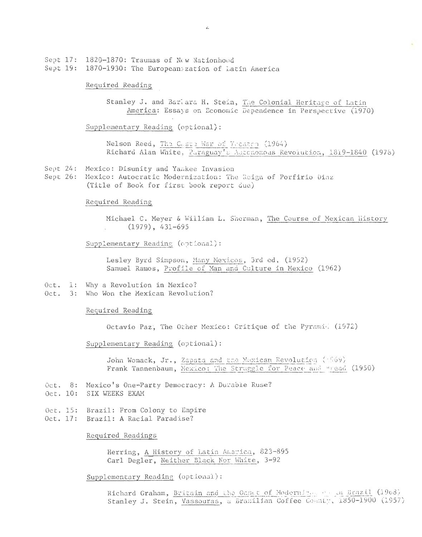Sept 17: 1820-1870: Traumas of New Nationhood Sept  $19:$ 1870-1930: The European zation of Latin America

### Required Reading

Stanley J. and Barlara H. Stein, The Colonial Heritage of Latin America: Essays on Economic Dependence in Perspective (1970)

Supplementary Reading (optional):

Nelson Reed, The Gaste War of Yecatro (1964) Richard Alan White, Paraguay's Autonomous Revolution, 1819-1840 (1978)

- Sept 24: Mexico: Disunity and Yamkee Invasion
- Sept 26: Mexico: Autocratic Modernization: The Reign of Porfirio Diaz (Title of Book for first book report due)

#### Required Reading

Michael C. Meyer & William L. Snerman, The Course of Mexican History  $(1979)$ , 431-695

Supplementary Reading (optional):

Lesley Byrd Simpson, Many Mexicos, 3rd ed. (1952) Samuel Ramos, Profile of Man and Culture in Mexico (1962)

- Oct. 1: Why a Revolution in Mexico?
- Oct. 3: Who Won the Mexican Revolution?

### Required Reading

Octavio Paz, The Other Mexico: Critique of the Pyramid (1972)

# Supplementary Reading (optional):

John Womack, Jr., Zapata and the Muxican Revolution (1969) Frank Tannenbaum, Mexico: The Struggle for Peace and Bread (1950)

- Oct. 8: Mexico's One-Party Democracy: A Durable Ruse?
- Oct. 10: SIX WEEKS EXAM
- Oct. 15: Brazil: From Colony to Empire Oct. 17: Brazil: A Racial Paradise?
	-

Required Readings

Herring, A History of Latin America, 823-895 Carl Degler, Neither Black Nor White, 3-92

Supplementary Reading (optional):

Richard Graham, Britain and the Oaset of Modernings of an Brazil (1908) Stanley J. Stein, Vassouras, a Brazilian Coffee County, 1850-1900 (1957)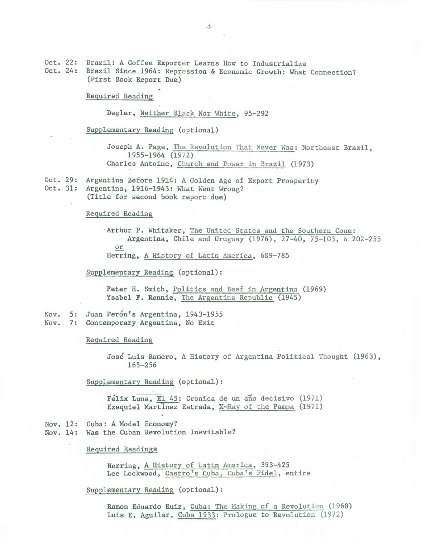Oct. 22: Brazil: A Coffee Exporter Learns How to Industrialize Oct. 24: Brazil Since 1964: Repression & Economic Growth: What Connection? (First Book Report Due)

Required Reading

Degler, Neither Black Nor White, 95-292

Supplementary Reading (optional)

Joseph A. Page, The Revolution That Never Was: Northeast Brazil, 1955-1964 (19/2) Charles Antoine, Church and Power in Brazil (1973)

Oct. 29: Argentina Before 1914: A Golden Age of Export Prosperity Oct. 31: Argentina, 1916-1943: What Went Wrong?

(Title for second book report due)

Required Reading

· Arthur P. Whitaker , The United States and the Southern Cone : Argentina, Chile and Uruguay (1976), 27-40, 75-103, & 202-255 or Herring, A History of Latin America, 689-785

Supplementary Reading (optional):

Peter H. Smith, Politics and Beef in Argentina (1969) Ysabel F. Rennie, The Argentina Republic (1945)

Nov. 5: Juan Perón's Argentina, 1943-1955 Nov. 7: Contemporary Argentina, No Exit

Required Reading

José Luis Romero, A History of Argentina Political Thought (1963), 165-256

Supplementary Reading (optional):

Félix Luna, El 45: Cronica de un año decisivo (1971) Ezequiel Martinez Estrada, X-Ray of the Pampa (1971)

Nov. 12: Cuba: A Model Economy? Nov. 14: Was the Cuban Revolution Inevitable?

Required Readings

Herring, A History of Latin America, 393-425 Lee Lockwood, Castro's Cuba, Cuba's Fidel, entire

Supplementary Reading (optional):

Ramon Eduardo Ruiz, Cuba: The Making of a Revolution (1968) Luis E. Aguilar, Cuba 1933: Prologue to Revolution (1972)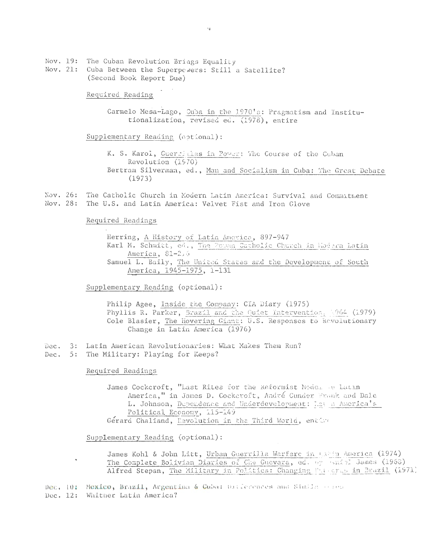Nov. 19: The Cuban Revolution Brings Equality Nov. 21: Cuba Between the Superpowers: Still a Satellite? (Second Book Report Due)

Required Reading

Carmelo Mesa-Lago, Cuba in the 1970's: Pragmatism and Institutionalization, revised ed. (1978), entire

Supplementary Reading (optional):

K. S. Karol, Guerrillas in Power: The Course of the Cuban Revolution (1970) Bertram Silvermaa, ed., Man and Socialism in Cuba: The Great Debate (1973)

Nov. 26: The Catholic Church in Modern Latin America: Survival and Commitment Nov. 28: The U.S. and Latin America: Velvet Fist and Iron Glove

Required Readings

Herring, A History of Latin America, 897-947 Karl M. Schmitt, ed., The Powen Catholic Church in Modern Latin America, 81-216 Samuel L. Baily, The United States and the Development of South America, 1945-1975, 1-131

Supplementary Reading (optional):

Philip Agee, Inside the Company: CIA Diary (1975) Phyllis R. Parker, Brazil and the Quiet Intervention, 1964 (1979) Cole Blasier, The Hovering Giant: U.S. Responses to Revolutionary Change in Latin America (1976)

- Dec. 3: Latin American Revolutionaries: What Makes Them Run?
- Dec. 5: The Military: Playing for Keeps?

Required Readings

 $\ddot{\phantom{a}}$ 

James Cockcroft, "Last Rites for the Reformist Model 4.1 Latin America," in James D. Cockcroft, André Cunder Frank and Dale L. Johnson, Dependence and Underdevelopment: Lat a America's Political Economy, 115-149 Gerard Chaliand, Revolution in the Third World, entire

Supplementary Reading (optional):

James Kohl & John Litt, Urban Guerrilla Warfare in Calin America (1974) The Complete Bolivian Diaries of Che Guevara, ed. by Bandel James (1968) Alfred Stepan, The Military in Politics: Changing Patterns in Brazil (1971)

Dec. 10: Mexico, Brazil, Argentina & Cuba: Ditferences and Simila cores Dec. 12: Whither Latin America?